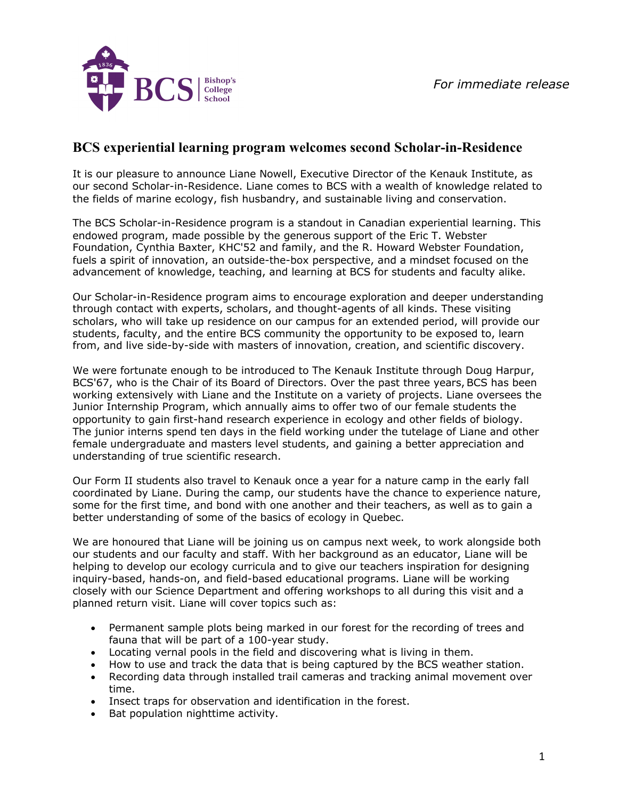

## **BCS experiential learning program welcomes second Scholar-in-Residence**

It is our pleasure to announce Liane Nowell, Executive Director of the Kenauk Institute, as our second Scholar-in-Residence. Liane comes to BCS with a wealth of knowledge related to the fields of marine ecology, fish husbandry, and sustainable living and conservation.

The BCS Scholar-in-Residence program is a standout in Canadian experiential learning. This endowed program, made possible by the generous support of the Eric T. Webster Foundation, Cynthia Baxter, KHC'52 and family, and the R. Howard Webster Foundation, fuels a spirit of innovation, an outside-the-box perspective, and a mindset focused on the advancement of knowledge, teaching, and learning at BCS for students and faculty alike.

Our Scholar-in-Residence program aims to encourage exploration and deeper understanding through contact with experts, scholars, and thought-agents of all kinds. These visiting scholars, who will take up residence on our campus for an extended period, will provide our students, faculty, and the entire BCS community the opportunity to be exposed to, learn from, and live side-by-side with masters of innovation, creation, and scientific discovery.

We were fortunate enough to be introduced to The Kenauk Institute through Doug Harpur, BCS'67, who is the Chair of its Board of Directors. Over the past three years, BCS has been working extensively with Liane and the Institute on a variety of projects. Liane oversees the Junior Internship Program, which annually aims to offer two of our female students the opportunity to gain first-hand research experience in ecology and other fields of biology. The junior interns spend ten days in the field working under the tutelage of Liane and other female undergraduate and masters level students, and gaining a better appreciation and understanding of true scientific research.

Our Form II students also travel to Kenauk once a year for a nature camp in the early fall coordinated by Liane. During the camp, our students have the chance to experience nature, some for the first time, and bond with one another and their teachers, as well as to gain a better understanding of some of the basics of ecology in Quebec.

We are honoured that Liane will be joining us on campus next week, to work alongside both our students and our faculty and staff. With her background as an educator, Liane will be helping to develop our ecology curricula and to give our teachers inspiration for designing inquiry-based, hands-on, and field-based educational programs. Liane will be working closely with our Science Department and offering workshops to all during this visit and a planned return visit. Liane will cover topics such as:

- Permanent sample plots being marked in our forest for the recording of trees and fauna that will be part of a 100-year study.
- Locating vernal pools in the field and discovering what is living in them.
- How to use and track the data that is being captured by the BCS weather station.
- Recording data through installed trail cameras and tracking animal movement over time.
- Insect traps for observation and identification in the forest.
- Bat population nighttime activity.